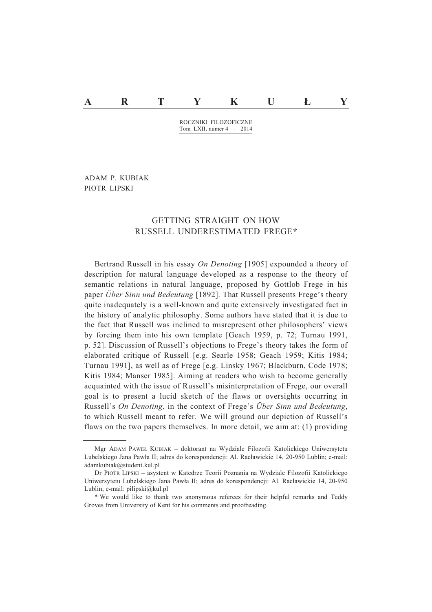# **A R T Y K U & Y**

ROCZNIKI FILOZOFICZNE Tom LXII, numer 4 – 2014

ADAM P. KUBIAK PIOTR LIPSKI

## GETTING STRAIGHT ON HOW RUSSELL UNDERESTIMATED FREGE*\**

Bertrand Russell in his essay *On Denoting* [1905] expounded a theory of description for natural language developed as a response to the theory of semantic relations in natural language, proposed by Gottlob Frege in his paper *Über Sinn und Bedeutung* [1892]. That Russell presents Frege's theory quite inadequately is a well-known and quite extensively investigated fact in the history of analytic philosophy. Some authors have stated that it is due to the fact that Russell was inclined to misrepresent other philosophers' views by forcing them into his own template [Geach 1959, p. 72; Turnau 1991, p. 52]. Discussion of Russell's objections to Frege's theory takes the form of elaborated critique of Russell [e.g. Searle 1958; Geach 1959; Kitis 1984; Turnau 1991], as well as of Frege [e.g. Linsky 1967; Blackburn, Code 1978; Kitis 1984; Manser 1985]. Aiming at readers who wish to become generally acquainted with the issue of Russell's misinterpretation of Frege, our overall goal is to present a lucid sketch of the flaws or oversights occurring in Russell's *On Denoting*, in the context of Frege's *Über Sinn und Bedeutung*, to which Russell meant to refer. We will ground our depiction of Russell's flaws on the two papers themselves. In more detail, we aim at: (1) providing

Mgr ADAM PAWEe KUBIAK – doktorant na Wydziale Filozofii Katolickiego Uniwersytetu Lubelskiego Jana Pawła II; adres do korespondencji: Al. Racławickie 14, 20-950 Lublin; e-mail: adamkubiak@student.kul.pl

Dr PIOTR LIPSKI – asystent w Katedrze Teorii Poznania na Wydziale Filozofii Katolickiego Uniwersytetu Lubelskiego Jana Pawła II; adres do korespondencji: Al. Racławickie 14, 20-950 Lublin; e-mail: pilipski@kul.pl

<sup>\*</sup> We would like to thank two anonymous referees for their helpful remarks and Teddy Groves from University of Kent for his comments and proofreading.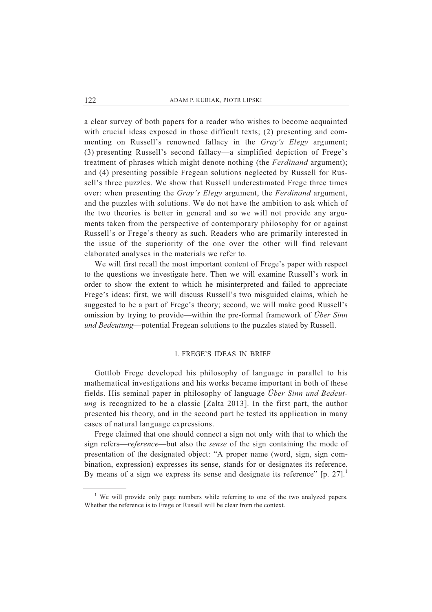a clear survey of both papers for a reader who wishes to become acquainted with crucial ideas exposed in those difficult texts; (2) presenting and commenting on Russell's renowned fallacy in the *Gray's Elegy* argument; (3) presenting Russell's second fallacy—a simplified depiction of Frege's treatment of phrases which might denote nothing (the *Ferdinand* argument); and (4) presenting possible Fregean solutions neglected by Russell for Russell's three puzzles. We show that Russell underestimated Frege three times over: when presenting the *Gray's Elegy* argument, the *Ferdinand* argument, and the puzzles with solutions. We do not have the ambition to ask which of the two theories is better in general and so we will not provide any arguments taken from the perspective of contemporary philosophy for or against Russell's or Frege's theory as such. Readers who are primarily interested in the issue of the superiority of the one over the other will find relevant elaborated analyses in the materials we refer to.

 We will first recall the most important content of Frege's paper with respect to the questions we investigate here. Then we will examine Russell's work in order to show the extent to which he misinterpreted and failed to appreciate Frege's ideas: first, we will discuss Russell's two misguided claims, which he suggested to be a part of Frege's theory; second, we will make good Russell's omission by trying to provide—within the pre-formal framework of *Über Sinn und Bedeutung*—potential Fregean solutions to the puzzles stated by Russell.

## 1. FREGE'S IDEAS IN BRIEF

Gottlob Frege developed his philosophy of language in parallel to his mathematical investigations and his works became important in both of these fields. His seminal paper in philosophy of language *Über Sinn und Bedeutung* is recognized to be a classic [Zalta 2013]. In the first part, the author presented his theory, and in the second part he tested its application in many cases of natural language expressions.

 Frege claimed that one should connect a sign not only with that to which the sign refers—*reference*—but also the *sense* of the sign containing the mode of presentation of the designated object: "A proper name (word, sign, sign combination, expression) expresses its sense, stands for or designates its reference. By means of a sign we express its sense and designate its reference"  $[p. 27]$ .<sup>1</sup>

<sup>&</sup>lt;sup>1</sup> We will provide only page numbers while referring to one of the two analyzed papers. Whether the reference is to Frege or Russell will be clear from the context.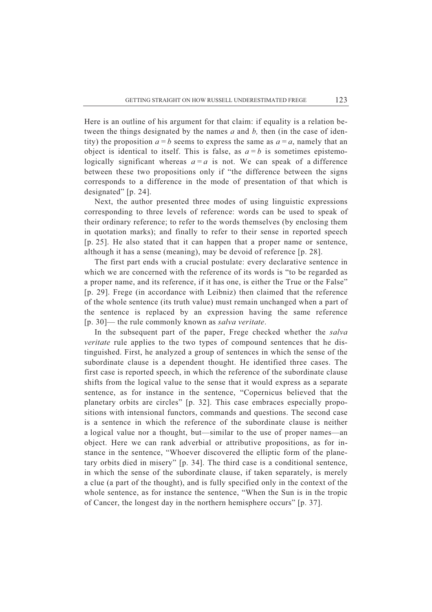Here is an outline of his argument for that claim: if equality is a relation between the things designated by the names *a* and *b,* then (in the case of identity) the proposition  $a = b$  seems to express the same as  $a = a$ , namely that an object is identical to itself. This is false, as  $a = b$  is sometimes epistemologically significant whereas  $a = a$  is not. We can speak of a difference between these two propositions only if "the difference between the signs corresponds to a difference in the mode of presentation of that which is designated" [p. 24].

 Next, the author presented three modes of using linguistic expressions corresponding to three levels of reference: words can be used to speak of their ordinary reference; to refer to the words themselves (by enclosing them in quotation marks); and finally to refer to their sense in reported speech [p. 25]. He also stated that it can happen that a proper name or sentence, although it has a sense (meaning), may be devoid of reference [p. 28].

 The first part ends with a crucial postulate: every declarative sentence in which we are concerned with the reference of its words is "to be regarded as a proper name, and its reference, if it has one, is either the True or the False" [p. 29]. Frege (in accordance with Leibniz) then claimed that the reference of the whole sentence (its truth value) must remain unchanged when a part of the sentence is replaced by an expression having the same reference [p. 30]— the rule commonly known as *salva veritate*.

 In the subsequent part of the paper, Frege checked whether the *salva veritate* rule applies to the two types of compound sentences that he distinguished. First, he analyzed a group of sentences in which the sense of the subordinate clause is a dependent thought. He identified three cases. The first case is reported speech, in which the reference of the subordinate clause shifts from the logical value to the sense that it would express as a separate sentence, as for instance in the sentence, "Copernicus believed that the planetary orbits are circles" [p. 32]. This case embraces especially propositions with intensional functors, commands and questions. The second case is a sentence in which the reference of the subordinate clause is neither a logical value nor a thought, but—similar to the use of proper names—an object. Here we can rank adverbial or attributive propositions, as for instance in the sentence, "Whoever discovered the elliptic form of the planetary orbits died in misery" [p. 34]. The third case is a conditional sentence, in which the sense of the subordinate clause, if taken separately, is merely a clue (a part of the thought), and is fully specified only in the context of the whole sentence, as for instance the sentence, "When the Sun is in the tropic of Cancer, the longest day in the northern hemisphere occurs" [p. 37].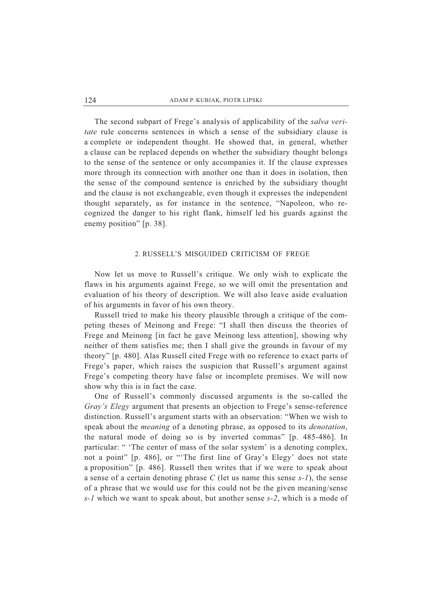The second subpart of Frege's analysis of applicability of the *salva veritate* rule concerns sentences in which a sense of the subsidiary clause is a complete or independent thought. He showed that, in general, whether a clause can be replaced depends on whether the subsidiary thought belongs to the sense of the sentence or only accompanies it. If the clause expresses more through its connection with another one than it does in isolation, then the sense of the compound sentence is enriched by the subsidiary thought and the clause is not exchangeable, even though it expresses the independent thought separately, as for instance in the sentence, "Napoleon, who recognized the danger to his right flank, himself led his guards against the enemy position" [p. 38].

### 2. RUSSELL'S MISGUIDED CRITICISM OF FREGE

 Now let us move to Russell's critique. We only wish to explicate the flaws in his arguments against Frege, so we will omit the presentation and evaluation of his theory of description. We will also leave aside evaluation of his arguments in favor of his own theory.

 Russell tried to make his theory plausible through a critique of the competing theses of Meinong and Frege: "I shall then discuss the theories of Frege and Meinong [in fact he gave Meinong less attention], showing why neither of them satisfies me; then I shall give the grounds in favour of my theory" [p. 480]. Alas Russell cited Frege with no reference to exact parts of Frege's paper, which raises the suspicion that Russell's argument against Frege's competing theory have false or incomplete premises. We will now show why this is in fact the case.

 One of Russell's commonly discussed arguments is the so-called the *Gray's Elegy* argument that presents an objection to Frege's sense-reference distinction. Russell's argument starts with an observation: "When we wish to speak about the *meaning* of a denoting phrase, as opposed to its *denotation*, the natural mode of doing so is by inverted commas" [p. 485-486]. In particular: " 'The center of mass of the solar system' is a denoting complex, not a point" [p. 486], or "'The first line of Gray's Elegy' does not state a proposition" [p. 486]. Russell then writes that if we were to speak about a sense of a certain denoting phrase *C* (let us name this sense *s-1*), the sense of a phrase that we would use for this could not be the given meaning/sense *s-1* which we want to speak about, but another sense *s-2*, which is a mode of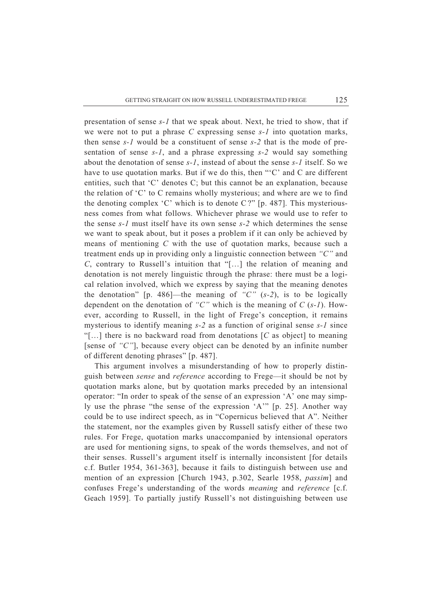presentation of sense *s-1* that we speak about. Next, he tried to show, that if we were not to put a phrase *C* expressing sense *s-1* into quotation marks, then sense *s-1* would be a constituent of sense *s-2* that is the mode of presentation of sense *s-1*, and a phrase expressing *s-2* would say something about the denotation of sense *s-1*, instead of about the sense *s-1* itself. So we have to use quotation marks. But if we do this, then "'C' and C are different entities, such that 'C' denotes C; but this cannot be an explanation, because the relation of 'C' to C remains wholly mysterious; and where are we to find the denoting complex 'C' which is to denote C ?" [p. 487]. This mysteriousness comes from what follows. Whichever phrase we would use to refer to the sense *s-1* must itself have its own sense *s-2* which determines the sense we want to speak about, but it poses a problem if it can only be achieved by means of mentioning *C* with the use of quotation marks, because such a treatment ends up in providing only a linguistic connection between *"C"* and *C*, contrary to Russell's intuition that "[…] the relation of meaning and denotation is not merely linguistic through the phrase: there must be a logical relation involved, which we express by saying that the meaning denotes the denotation" [p. 486]—the meaning of *"C"* (*s-2*), is to be logically dependent on the denotation of *"C"* which is the meaning of *C* (*s-1*). However, according to Russell, in the light of Frege's conception, it remains mysterious to identify meaning *s-2* as a function of original sense *s-1* since "[…] there is no backward road from denotations [*C* as object] to meaning [sense of *"C"*], because every object can be denoted by an infinite number of different denoting phrases" [p. 487].

 This argument involves a misunderstanding of how to properly distinguish between *sense* and *reference* according to Frege—it should be not by quotation marks alone, but by quotation marks preceded by an intensional operator: "In order to speak of the sense of an expression 'A' one may simply use the phrase "the sense of the expression 'A'" [p. 25]. Another way could be to use indirect speech, as in "Copernicus believed that A". Neither the statement, nor the examples given by Russell satisfy either of these two rules. For Frege, quotation marks unaccompanied by intensional operators are used for mentioning signs, to speak of the words themselves, and not of their senses. Russell's argument itself is internally inconsistent [for details c.f. Butler 1954, 361-363], because it fails to distinguish between use and mention of an expression [Church 1943, p.302, Searle 1958, *passim*] and confuses Frege's understanding of the words *meaning* and *reference* [c.f. Geach 1959]. To partially justify Russell's not distinguishing between use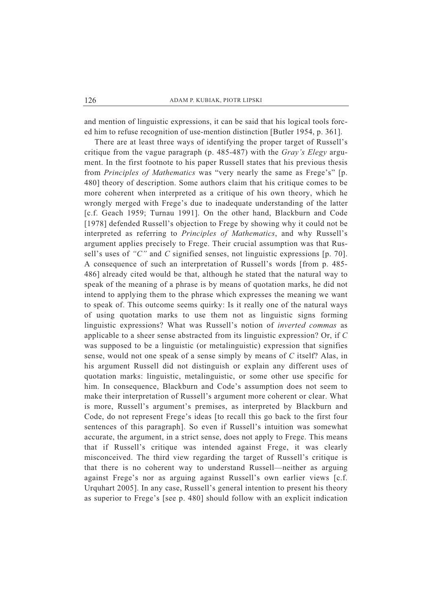and mention of linguistic expressions, it can be said that his logical tools forced him to refuse recognition of use-mention distinction [Butler 1954, p. 361].

 There are at least three ways of identifying the proper target of Russell's critique from the vague paragraph (p. 485-487) with the *Gray's Elegy* argument. In the first footnote to his paper Russell states that his previous thesis from *Principles of Mathematics* was "very nearly the same as Frege's" [p. 480] theory of description. Some authors claim that his critique comes to be more coherent when interpreted as a critique of his own theory, which he wrongly merged with Frege's due to inadequate understanding of the latter [c.f. Geach 1959; Turnau 1991]. On the other hand, Blackburn and Code [1978] defended Russell's objection to Frege by showing why it could not be interpreted as referring to *Principles of Mathematics*, and why Russell's argument applies precisely to Frege. Their crucial assumption was that Russell's uses of *"C"* and *C* signified senses, not linguistic expressions [p. 70]. A consequence of such an interpretation of Russell's words [from p. 485- 486] already cited would be that, although he stated that the natural way to speak of the meaning of a phrase is by means of quotation marks, he did not intend to applying them to the phrase which expresses the meaning we want to speak of. This outcome seems quirky: Is it really one of the natural ways of using quotation marks to use them not as linguistic signs forming linguistic expressions? What was Russell's notion of *inverted commas* as applicable to a sheer sense abstracted from its linguistic expression? Or, if *C* was supposed to be a linguistic (or metalinguistic) expression that signifies sense, would not one speak of a sense simply by means of *C* itself? Alas, in his argument Russell did not distinguish or explain any different uses of quotation marks: linguistic, metalinguistic, or some other use specific for him. In consequence, Blackburn and Code's assumption does not seem to make their interpretation of Russell's argument more coherent or clear. What is more, Russell's argument's premises, as interpreted by Blackburn and Code, do not represent Frege's ideas [to recall this go back to the first four sentences of this paragraph]. So even if Russell's intuition was somewhat accurate, the argument, in a strict sense, does not apply to Frege. This means that if Russell's critique was intended against Frege, it was clearly misconceived. The third view regarding the target of Russell's critique is that there is no coherent way to understand Russell—neither as arguing against Frege's nor as arguing against Russell's own earlier views [c.f. Urquhart 2005]. In any case, Russell's general intention to present his theory as superior to Frege's [see p. 480] should follow with an explicit indication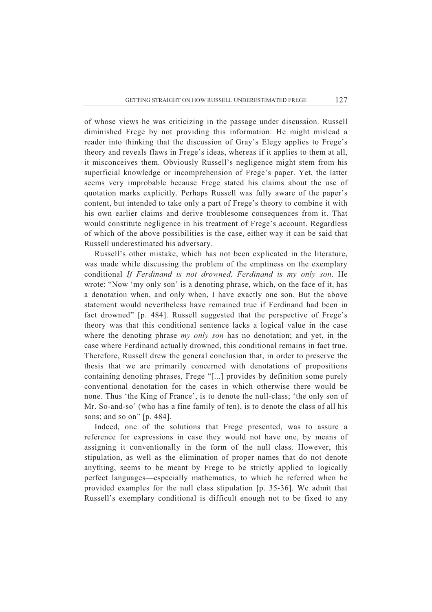of whose views he was criticizing in the passage under discussion. Russell diminished Frege by not providing this information: He might mislead a reader into thinking that the discussion of Gray's Elegy applies to Frege's theory and reveals flaws in Frege's ideas, whereas if it applies to them at all, it misconceives them. Obviously Russell's negligence might stem from his superficial knowledge or incomprehension of Frege's paper. Yet, the latter seems very improbable because Frege stated his claims about the use of quotation marks explicitly. Perhaps Russell was fully aware of the paper's content, but intended to take only a part of Frege's theory to combine it with his own earlier claims and derive troublesome consequences from it. That would constitute negligence in his treatment of Frege's account. Regardless of which of the above possibilities is the case, either way it can be said that Russell underestimated his adversary.

 Russell's other mistake, which has not been explicated in the literature, was made while discussing the problem of the emptiness on the exemplary conditional *If Ferdinand is not drowned, Ferdinand is my only son*. He wrote: "Now 'my only son' is a denoting phrase, which, on the face of it, has a denotation when, and only when, I have exactly one son. But the above statement would nevertheless have remained true if Ferdinand had been in fact drowned" [p. 484]. Russell suggested that the perspective of Frege's theory was that this conditional sentence lacks a logical value in the case where the denoting phrase *my only son* has no denotation; and yet, in the case where Ferdinand actually drowned, this conditional remains in fact true. Therefore, Russell drew the general conclusion that, in order to preserve the thesis that we are primarily concerned with denotations of propositions containing denoting phrases, Frege "[...] provides by definition some purely conventional denotation for the cases in which otherwise there would be none. Thus 'the King of France', is to denote the null-class; 'the only son of Mr. So-and-so' (who has a fine family of ten), is to denote the class of all his sons; and so on" [p. 484].

 Indeed, one of the solutions that Frege presented, was to assure a reference for expressions in case they would not have one, by means of assigning it conventionally in the form of the null class. However, this stipulation, as well as the elimination of proper names that do not denote anything, seems to be meant by Frege to be strictly applied to logically perfect languages—especially mathematics, to which he referred when he provided examples for the null class stipulation [p. 35-36]. We admit that Russell's exemplary conditional is difficult enough not to be fixed to any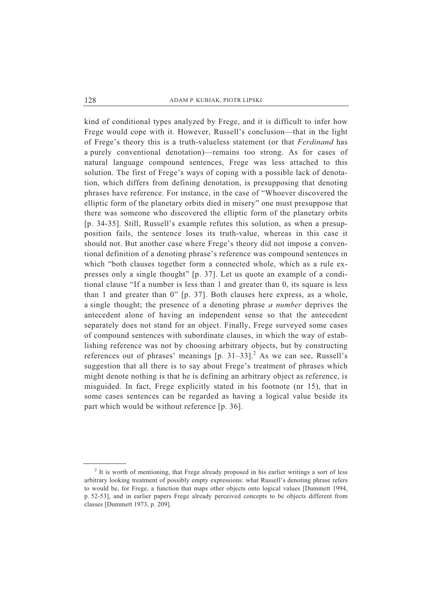kind of conditional types analyzed by Frege, and it is difficult to infer how Frege would cope with it. However, Russell's conclusion—that in the light of Frege's theory this is a truth-valueless statement (or that *Ferdinand* has a purely conventional denotation)—remains too strong. As for cases of natural language compound sentences, Frege was less attached to this solution. The first of Frege's ways of coping with a possible lack of denotation, which differs from defining denotation, is presupposing that denoting phrases have reference. For instance, in the case of "Whoever discovered the elliptic form of the planetary orbits died in misery" one must presuppose that there was someone who discovered the elliptic form of the planetary orbits [p. 34-35]. Still, Russell's example refutes this solution, as when a presupposition fails, the sentence loses its truth-value, whereas in this case it should not. But another case where Frege's theory did not impose a conventional definition of a denoting phrase's reference was compound sentences in which "both clauses together form a connected whole, which as a rule expresses only a single thought" [p. 37]. Let us quote an example of a conditional clause "If a number is less than 1 and greater than 0, its square is less than 1 and greater than 0" [p. 37]. Both clauses here express, as a whole, a single thought; the presence of a denoting phrase *a number* deprives the antecedent alone of having an independent sense so that the antecedent separately does not stand for an object. Finally, Frege surveyed some cases of compound sentences with subordinate clauses, in which the way of establishing reference was not by choosing arbitrary objects, but by constructing references out of phrases' meanings  $[p. 31-33]$ .<sup>2</sup> As we can see, Russell's suggestion that all there is to say about Frege's treatment of phrases which might denote nothing is that he is defining an arbitrary object as reference, is misguided. In fact, Frege explicitly stated in his footnote (nr 15), that in some cases sentences can be regarded as having a logical value beside its part which would be without reference [p. 36].

 $2$  It is worth of mentioning, that Frege already proposed in his earlier writings a sort of less arbitrary looking treatment of possibly empty expressions: what Russell's denoting phrase refers to would be, for Frege, a function that maps other objects onto logical values [Dummett 1994, p. 52-53], and in earlier papers Frege already perceived concepts to be objects different from classes [Dummett 1973, p. 209].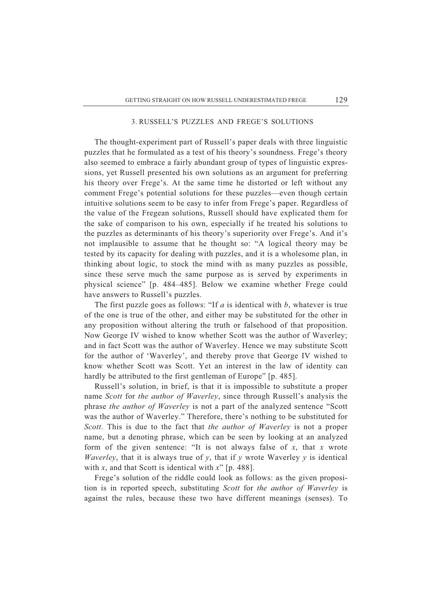## 3. RUSSELL'S PUZZLES AND FREGE'S SOLUTIONS

 The thought-experiment part of Russell's paper deals with three linguistic puzzles that he formulated as a test of his theory's soundness. Frege's theory also seemed to embrace a fairly abundant group of types of linguistic expressions, yet Russell presented his own solutions as an argument for preferring his theory over Frege's. At the same time he distorted or left without any comment Frege's potential solutions for these puzzles—even though certain intuitive solutions seem to be easy to infer from Frege's paper. Regardless of the value of the Fregean solutions, Russell should have explicated them for the sake of comparison to his own, especially if he treated his solutions to the puzzles as determinants of his theory's superiority over Frege's. And it's not implausible to assume that he thought so: "A logical theory may be tested by its capacity for dealing with puzzles, and it is a wholesome plan, in thinking about logic, to stock the mind with as many puzzles as possible, since these serve much the same purpose as is served by experiments in physical science" [p. 484–485]. Below we examine whether Frege could have answers to Russell's puzzles.

 The first puzzle goes as follows: "If *a* is identical with *b*, whatever is true of the one is true of the other, and either may be substituted for the other in any proposition without altering the truth or falsehood of that proposition. Now George IV wished to know whether Scott was the author of Waverley; and in fact Scott was the author of Waverley. Hence we may substitute Scott for the author of 'Waverley', and thereby prove that George IV wished to know whether Scott was Scott. Yet an interest in the law of identity can hardly be attributed to the first gentleman of Europe" [p. 485].

 Russell's solution, in brief, is that it is impossible to substitute a proper name *Scott* for *the author of Waverley*, since through Russell's analysis the phrase *the author of Waverley* is not a part of the analyzed sentence "Scott was the author of Waverley." Therefore, there's nothing to be substituted for *Scott*. This is due to the fact that *the author of Waverley* is not a proper name, but a denoting phrase, which can be seen by looking at an analyzed form of the given sentence: "It is not always false of *x*, that *x* wrote *Waverley*, that it is always true of  $y$ , that if  $y$  wrote Waverley  $y$  is identical with *x*, and that Scott is identical with *x*" [p. 488].

 Frege's solution of the riddle could look as follows: as the given proposition is in reported speech, substituting *Scott* for *the author of Waverley* is against the rules, because these two have different meanings (senses). To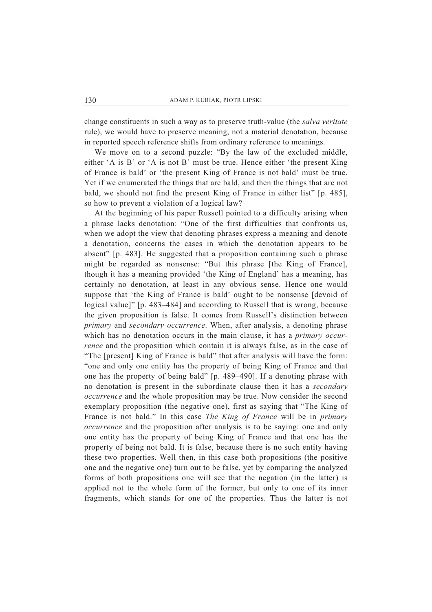change constituents in such a way as to preserve truth-value (the *salva veritate* rule), we would have to preserve meaning, not a material denotation, because in reported speech reference shifts from ordinary reference to meanings.

 We move on to a second puzzle: "By the law of the excluded middle, either 'A is B' or 'A is not B' must be true. Hence either 'the present King of France is bald' or 'the present King of France is not bald' must be true. Yet if we enumerated the things that are bald, and then the things that are not bald, we should not find the present King of France in either list" [p. 485], so how to prevent a violation of a logical law?

 At the beginning of his paper Russell pointed to a difficulty arising when a phrase lacks denotation: "One of the first difficulties that confronts us, when we adopt the view that denoting phrases express a meaning and denote a denotation, concerns the cases in which the denotation appears to be absent" [p. 483]. He suggested that a proposition containing such a phrase might be regarded as nonsense: "But this phrase [the King of France], though it has a meaning provided 'the King of England' has a meaning, has certainly no denotation, at least in any obvious sense. Hence one would suppose that 'the King of France is bald' ought to be nonsense [devoid of logical value]" [p. 483–484] and according to Russell that is wrong, because the given proposition is false. It comes from Russell's distinction between *primary* and *secondary occurrence*. When, after analysis, a denoting phrase which has no denotation occurs in the main clause, it has a *primary occurrence* and the proposition which contain it is always false, as in the case of "The [present] King of France is bald" that after analysis will have the form: "one and only one entity has the property of being King of France and that one has the property of being bald" [p. 489–490]. If a denoting phrase with no denotation is present in the subordinate clause then it has a *secondary occurrence* and the whole proposition may be true. Now consider the second exemplary proposition (the negative one), first as saying that "The King of France is not bald." In this case *The King of France* will be in *primary occurrence* and the proposition after analysis is to be saying: one and only one entity has the property of being King of France and that one has the property of being not bald. It is false, because there is no such entity having these two properties. Well then, in this case both propositions (the positive one and the negative one) turn out to be false, yet by comparing the analyzed forms of both propositions one will see that the negation (in the latter) is applied not to the whole form of the former, but only to one of its inner fragments, which stands for one of the properties. Thus the latter is not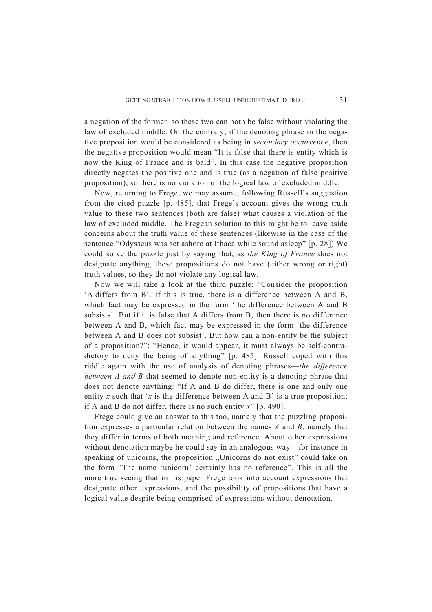a negation of the former, so these two can both be false without violating the law of excluded middle. On the contrary, if the denoting phrase in the negative proposition would be considered as being in *secondary occurrence*, then the negative proposition would mean "It is false that there is entity which is now the King of France and is bald". In this case the negative proposition directly negates the positive one and is true (as a negation of false positive proposition), so there is no violation of the logical law of excluded middle.

 Now, returning to Frege, we may assume, following Russell's suggestion from the cited puzzle [p. 485], that Frege's account gives the wrong truth value to these two sentences (both are false) what causes a violation of the law of excluded middle. The Fregean solution to this might be to leave aside concerns about the truth value of these sentences (likewise in the case of the sentence "Odysseus was set ashore at Ithaca while sound asleep" [p. 28]).We could solve the puzzle just by saying that, as *the King of France* does not designate anything, these propositions do not have (either wrong or right) truth values, so they do not violate any logical law.

 Now we will take a look at the third puzzle: "Consider the proposition 'A differs from B'. If this is true, there is a difference between A and B, which fact may be expressed in the form 'the difference between A and B subsists'. But if it is false that A differs from B, then there is no difference between A and B, which fact may be expressed in the form 'the difference between A and B does not subsist'. But how can a non-entity be the subject of a proposition?"; "Hence, it would appear, it must always be self-contradictory to deny the being of anything" [p. 485]. Russell coped with this riddle again with the use of analysis of denoting phrases—*the difference between A and B* that seemed to denote non-entity is a denoting phrase that does not denote anything: "If A and B do differ, there is one and only one entity *x* such that '*x* is the difference between A and B' is a true proposition; if A and B do not differ, there is no such entity *x*" [p. 490].

 Frege could give an answer to this too, namely that the puzzling proposition expresses a particular relation between the names *A* and *B*, namely that they differ in terms of both meaning and reference. About other expressions without denotation maybe he could say in an analogous way—for instance in speaking of unicorns, the proposition "Unicorns do not exist" could take on the form "The name 'unicorn' certainly has no reference". This is all the more true seeing that in his paper Frege took into account expressions that designate other expressions, and the possibility of propositions that have a logical value despite being comprised of expressions without denotation.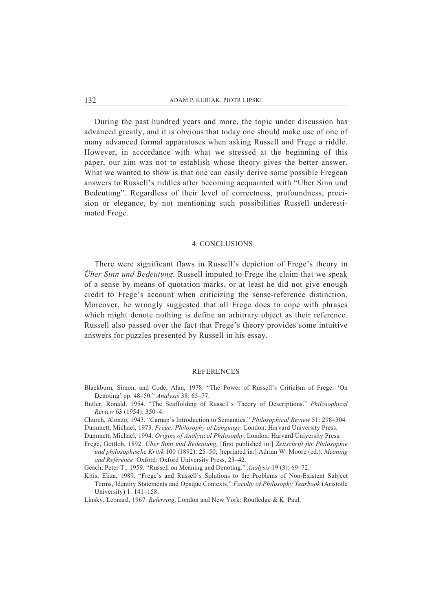During the past hundred years and more, the topic under discussion has advanced greatly, and it is obvious that today one should make use of one of many advanced formal apparatuses when asking Russell and Frege a riddle. However, in accordance with what we stressed at the beginning of this paper, our aim was not to establish whose theory gives the better answer. What we wanted to show is that one can easily derive some possible Fregean answers to Russell's riddles after becoming acquainted with "Uber Sinn und Bedeutung". Regardless of their level of correctness, profoundness, precision or elegance, by not mentioning such possibilities Russell underestimated Frege.

## 4. CONCLUSIONS

There were significant flaws in Russell's depiction of Frege's theory in *Über Sinn und Bedeutung*. Russell imputed to Frege the claim that we speak of a sense by means of quotation marks, or at least he did not give enough credit to Frege's account when criticizing the sense-reference distinction. Moreover, he wrongly suggested that all Frege does to cope with phrases which might denote nothing is define an arbitrary object as their reference. Russell also passed over the fact that Frege's theory provides some intuitive answers for puzzles presented by Russell in his essay.

#### **REFERENCES**

- Blackburn, Simon, and Code, Alan, 1978. "The Power of Russell's Criticism of Frege: 'On Denoting' pp. 48–50." *Analysis* 38: 65–77.
- Butler, Ronald, 1954. "The Scaffolding of Russell's Theory of Descriptions." *Philosophical Review* 63 (1954): 350–4.
- Church, Alonzo, 1943. "Carnap's Introduction to Semantics." *Philosophical Review* 51: 298–304. Dummett, Michael, 1973. *Frege: Philosophy of Language*. London: Harvard University Press.
- Dummett, Michael, 1994. *Origins of Analytical Philosophy*. London: Harvard University Press.
- Frege, Gottlob, 1892. *Über Sinn und Bedeutung*, [first published in:] *Zeitschrift für Philosophie und philosophische Kritik* 100 (1892): 25–50; [reprinted in:] Adrian W. Moore (ed.). *Meaning and Reference*. Oxford: Oxford University Press, 23–42.

Geach, Peter T., 1959. "Russell on Meaning and Denoting." *Analysis* 19 (3): 69–72.

Kitis, Eliza, 1989. "Frege's and Russell's Solutions to the Problems of Non-Existent Subject Terms, Identity Statements and Opaque Contexts." *Faculty of Philosophy Yearbook* (Aristotle University) 1: 141–158.

Linsky, Leonard, 1967. *Referring*. London and New York: Routledge & K. Paul.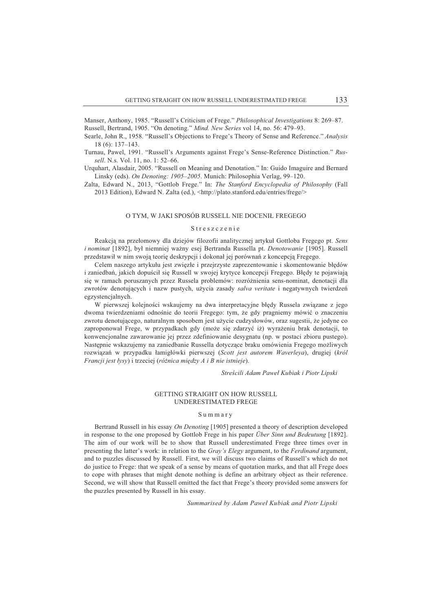Manser, Anthony, 1985. "Russell's Criticism of Frege." *Philosophical Investigations* 8: 269–87. Russell, Bertrand, 1905. "On denoting." *Mind. New Series* vol 14, no. 56: 479–93.

- Searle, John R., 1958. "Russell's Objections to Frege's Theory of Sense and Reference." *Analysis* 18 (6): 137–143.
- Turnau, Pawel, 1991. "Russell's Arguments against Frege's Sense-Reference Distinction." *Russell*. N.s. Vol. 11, no. 1: 52–66.
- Urquhart, Alasdair, 2005. "Russell on Meaning and Denotation." In: Guido Imaguire and Bernard Linsky (eds). *On Denoting: 1905–2005*. Munich: Philosophia Verlag, 99–120.
- Zalta, Edward N., 2013, "Gottlob Frege." In: *The Stanford Encyclopedia of Philosophy* (Fall 2013 Edition), Edward N. Zalta (ed.), <http://plato.stanford.edu/entries/frege/>

#### O TYM, W JAKI SPOSÓB RUSSELL NIE DOCENIŁ FREGEGO

#### S t r e s z c z e n i e

Reakcjy na przehomowy dla dziejów filozofii analitycznej artykuh Gottloba Fregego pt. *Sens i nominat* [1892], był niemniej ważny esej Bertranda Russella pt. *Denotowanie* [1905]. Russell przedstawił w nim swoją teorię deskrypcji i dokonał jej porównań z koncepcją Fregego.

Celem naszego artykułu jest zwięzłe i przejrzyste zaprezentowanie i skomentowanie błędów i zaniedbań, jakich dopuścił się Russell w swojej krytyce koncepcji Fregego. Błędy te pojawiają się w ramach poruszanych przez Russela problemów: rozróżnienia sens-nominat, denotacji dla zwrotów denotujących i nazw pustych, użycia zasady *salva veritate* i negatywnych twierdzeń egzystencjalnych.

W pierwszej kolejności wskaujemy na dwa interpretacyjne błędy Russela związane z jego dwoma twierdzeniami odnośnie do teorii Fregego: tym, że gdy pragniemy mówić o znaczeniu zwrotu denotującego, naturalnym sposobem jest użycie cudzysłowów, oraz sugestii, że jedyne co zaproponował Frege, w przypadkach gdy (może się zdarzyć iż) wyrażeniu brak denotacji, to konwencjonalne zawarowanie jej przez zdefiniowanie desygnatu (np. w postaci zbioru pustego). Następnie wskazujemy na zaniedbanie Russella dotyczące braku omówienia Fregego możliwych rozwiyza} w przypadku hamighówki pierwszej (*Scott jest autorem Waverleya*), drugiej (*król Francji jest ^ysy*) i trzeciej (*ró\_nica mi`dzy A i B nie istnieje*).

*Strebcili Adam Pawe^ Kubiak i Piotr Lipski* 

### GETTING STRAIGHT ON HOW RUSSELL UNDERESTIMATED FREGE

#### S u m m a r y

Bertrand Russell in his essay *On Denoting* [1905] presented a theory of description developed in response to the one proposed by Gottlob Frege in his paper *Über Sinn und Bedeutung* [1892]. The aim of our work will be to show that Russell underestimated Frege three times over in presenting the latter's work: in relation to the *Gray's Elegy* argument, to the *Ferdinand* argument, and to puzzles discussed by Russell. First, we will discuss two claims of Russell's which do not do justice to Frege: that we speak of a sense by means of quotation marks, and that all Frege does to cope with phrases that might denote nothing is define an arbitrary object as their reference. Second, we will show that Russell omitted the fact that Frege's theory provided some answers for the puzzles presented by Russell in his essay.

*Summarised by Adam Pawe^ Kubiak and Piotr Lipski*